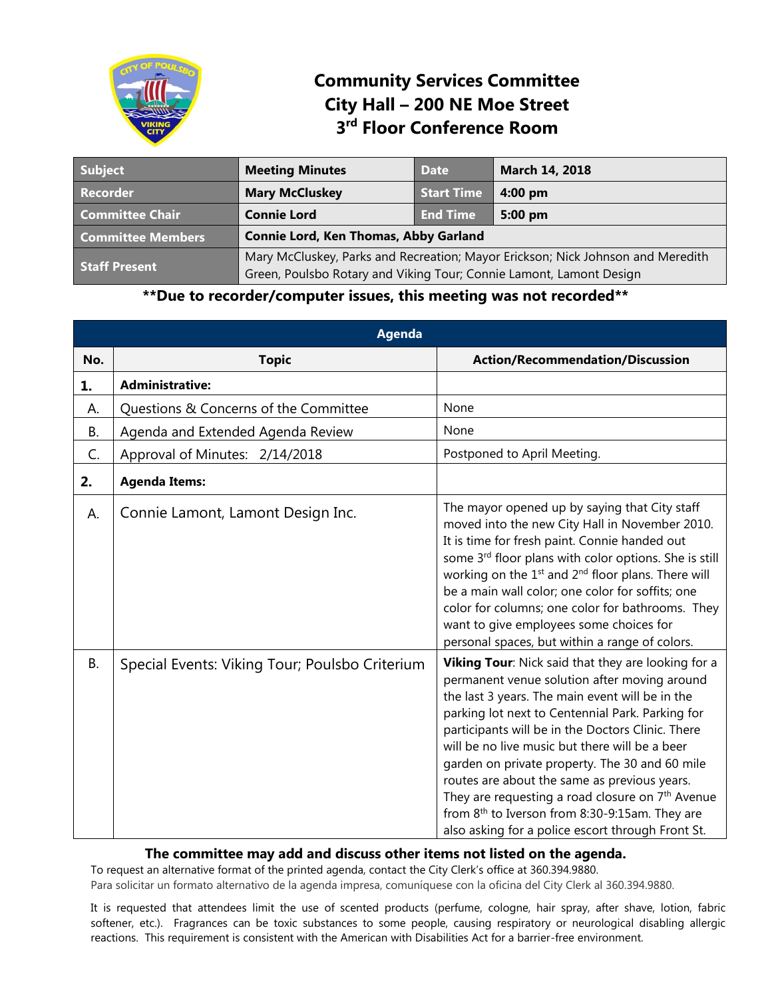

## **Community Services Committee City Hall – 200 NE Moe Street 3 rd Floor Conference Room**

| <b>Subject</b>           | <b>Meeting Minutes</b>                                                                                                                                 | Date       | March 14, 2018    |
|--------------------------|--------------------------------------------------------------------------------------------------------------------------------------------------------|------------|-------------------|
| <b>Recorder</b>          | <b>Mary McCluskey</b>                                                                                                                                  | Start Time | $4:00$ pm         |
| <b>Committee Chair</b>   | <b>Connie Lord</b>                                                                                                                                     | End Time   | $5:00 \text{ pm}$ |
| <b>Committee Members</b> | <b>Connie Lord, Ken Thomas, Abby Garland</b>                                                                                                           |            |                   |
| <b>Staff Present</b>     | Mary McCluskey, Parks and Recreation; Mayor Erickson; Nick Johnson and Meredith<br>Green, Poulsbo Rotary and Viking Tour; Connie Lamont, Lamont Design |            |                   |

## **\*\*Due to recorder/computer issues, this meeting was not recorded\*\***

|           | <b>Agenda</b>                                  |                                                                                                                                                                                                                                                                                                                                                                                                                                                                                                                                                                                                       |  |  |  |
|-----------|------------------------------------------------|-------------------------------------------------------------------------------------------------------------------------------------------------------------------------------------------------------------------------------------------------------------------------------------------------------------------------------------------------------------------------------------------------------------------------------------------------------------------------------------------------------------------------------------------------------------------------------------------------------|--|--|--|
| No.       | <b>Topic</b>                                   | <b>Action/Recommendation/Discussion</b>                                                                                                                                                                                                                                                                                                                                                                                                                                                                                                                                                               |  |  |  |
| 1.        | <b>Administrative:</b>                         |                                                                                                                                                                                                                                                                                                                                                                                                                                                                                                                                                                                                       |  |  |  |
| А.        | Questions & Concerns of the Committee          | None                                                                                                                                                                                                                                                                                                                                                                                                                                                                                                                                                                                                  |  |  |  |
| Β.        | Agenda and Extended Agenda Review              | None                                                                                                                                                                                                                                                                                                                                                                                                                                                                                                                                                                                                  |  |  |  |
| C.        | Approval of Minutes: 2/14/2018                 | Postponed to April Meeting.                                                                                                                                                                                                                                                                                                                                                                                                                                                                                                                                                                           |  |  |  |
| 2.        | <b>Agenda Items:</b>                           |                                                                                                                                                                                                                                                                                                                                                                                                                                                                                                                                                                                                       |  |  |  |
| A.        | Connie Lamont, Lamont Design Inc.              | The mayor opened up by saying that City staff<br>moved into the new City Hall in November 2010.<br>It is time for fresh paint. Connie handed out<br>some 3rd floor plans with color options. She is still<br>working on the 1 <sup>st</sup> and 2 <sup>nd</sup> floor plans. There will<br>be a main wall color; one color for soffits; one<br>color for columns; one color for bathrooms. They<br>want to give employees some choices for<br>personal spaces, but within a range of colors.                                                                                                          |  |  |  |
| <b>B.</b> | Special Events: Viking Tour; Poulsbo Criterium | Viking Tour: Nick said that they are looking for a<br>permanent venue solution after moving around<br>the last 3 years. The main event will be in the<br>parking lot next to Centennial Park. Parking for<br>participants will be in the Doctors Clinic. There<br>will be no live music but there will be a beer<br>garden on private property. The 30 and 60 mile<br>routes are about the same as previous years.<br>They are requesting a road closure on 7 <sup>th</sup> Avenue<br>from 8 <sup>th</sup> to Iverson from 8:30-9:15am. They are<br>also asking for a police escort through Front St. |  |  |  |

## **The committee may add and discuss other items not listed on the agenda.**

To request an alternative format of the printed agenda, contact the City Clerk's office at 360.394.9880. Para solicitar un formato alternativo de la agenda impresa, comuníquese con la oficina del City Clerk al 360.394.9880.

It is requested that attendees limit the use of scented products (perfume, cologne, hair spray, after shave, lotion, fabric softener, etc.). Fragrances can be toxic substances to some people, causing respiratory or neurological disabling allergic reactions. This requirement is consistent with the American with Disabilities Act for a barrier-free environment.